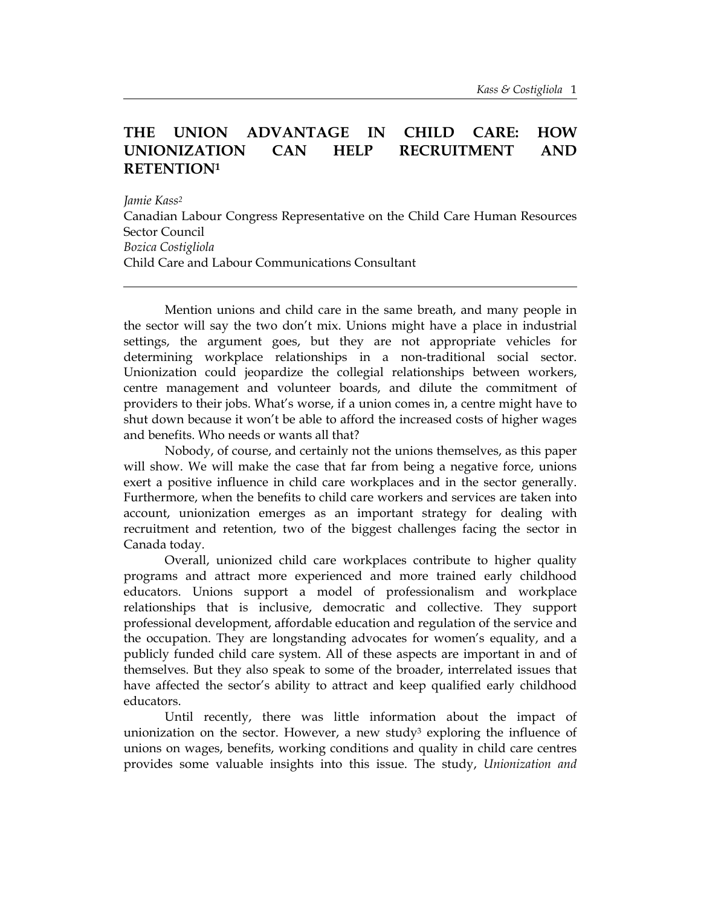# **THE UNION ADVANTAGE IN CHILD CARE: HOW UNIONIZATION CAN HELP RECRUITMENT AND RETENTIO[N1](#page-11-0)**

*Jamie Kass[2](#page-11-1)* Canadian Labour Congress Representative on the Child Care Human Resources Sector Council *Bozica Costigliola* Child Care and Labour Communications Consultant

Mention unions and child care in the same breath, and many people in the sector will say the two don't mix. Unions might have a place in industrial settings, the argument goes, but they are not appropriate vehicles for determining workplace relationships in a non-traditional social sector. Unionization could jeopardize the collegial relationships between workers, centre management and volunteer boards, and dilute the commitment of providers to their jobs. What's worse, if a union comes in, a centre might have to shut down because it won't be able to afford the increased costs of higher wages and benefits. Who needs or wants all that?

Nobody, of course, and certainly not the unions themselves, as this paper will show. We will make the case that far from being a negative force, unions exert a positive influence in child care workplaces and in the sector generally. Furthermore, when the benefits to child care workers and services are taken into account, unionization emerges as an important strategy for dealing with recruitment and retention, two of the biggest challenges facing the sector in Canada today.

Overall, unionized child care workplaces contribute to higher quality programs and attract more experienced and more trained early childhood educators. Unions support a model of professionalism and workplace relationships that is inclusive, democratic and collective. They support professional development, affordable education and regulation of the service and the occupation. They are longstanding advocates for women's equality, and a publicly funded child care system. All of these aspects are important in and of themselves. But they also speak to some of the broader, interrelated issues that have affected the sector's ability to attract and keep qualified early childhood educators.

Until recently, there was little information about the impact of unionization on the sector. However, a new study<sup>3</sup> exploring the influence of unions on wages, benefits, working conditions and quality in child care centres provides some valuable insights into this issue. The study, *Unionization and*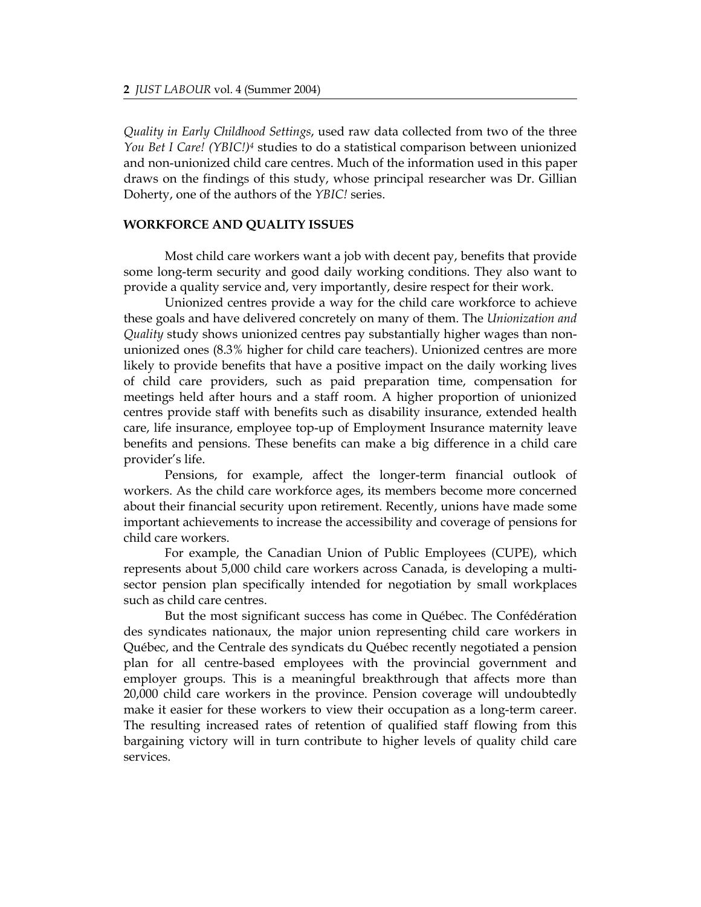*Quality in Early Childhood Settings*, used raw data collected from two of the three *You Bet I Care! (YBIC![\)4](#page-11-3)* studies to do a statistical comparison between unionized and non-unionized child care centres. Much of the information used in this paper draws on the findings of this study, whose principal researcher was Dr. Gillian Doherty, one of the authors of the *YBIC!* series.

#### **WORKFORCE AND QUALITY ISSUES**

Most child care workers want a job with decent pay, benefits that provide some long-term security and good daily working conditions. They also want to provide a quality service and, very importantly, desire respect for their work.

Unionized centres provide a way for the child care workforce to achieve these goals and have delivered concretely on many of them. The *Unionization and Quality* study shows unionized centres pay substantially higher wages than nonunionized ones (8.3% higher for child care teachers). Unionized centres are more likely to provide benefits that have a positive impact on the daily working lives of child care providers, such as paid preparation time, compensation for meetings held after hours and a staff room. A higher proportion of unionized centres provide staff with benefits such as disability insurance, extended health care, life insurance, employee top-up of Employment Insurance maternity leave benefits and pensions. These benefits can make a big difference in a child care provider's life.

Pensions, for example, affect the longer-term financial outlook of workers. As the child care workforce ages, its members become more concerned about their financial security upon retirement. Recently, unions have made some important achievements to increase the accessibility and coverage of pensions for child care workers.

For example, the Canadian Union of Public Employees (CUPE), which represents about 5,000 child care workers across Canada, is developing a multisector pension plan specifically intended for negotiation by small workplaces such as child care centres.

But the most significant success has come in Québec. The Confédération des syndicates nationaux, the major union representing child care workers in Québec, and the Centrale des syndicats du Québec recently negotiated a pension plan for all centre-based employees with the provincial government and employer groups. This is a meaningful breakthrough that affects more than 20,000 child care workers in the province. Pension coverage will undoubtedly make it easier for these workers to view their occupation as a long-term career. The resulting increased rates of retention of qualified staff flowing from this bargaining victory will in turn contribute to higher levels of quality child care services.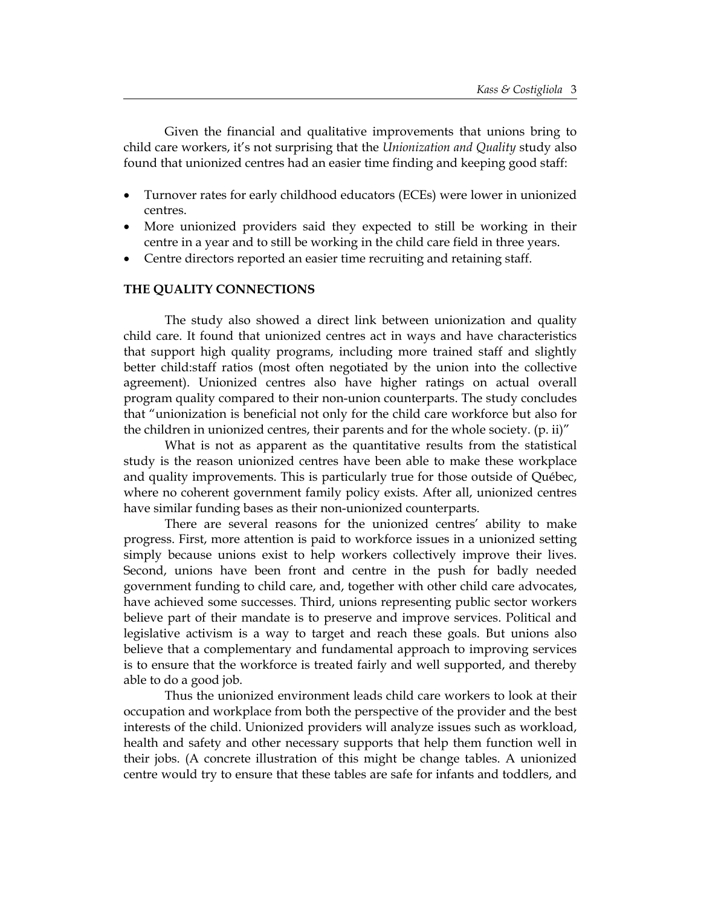Given the financial and qualitative improvements that unions bring to child care workers, it's not surprising that the *Unionization and Quality* study also found that unionized centres had an easier time finding and keeping good staff:

- Turnover rates for early childhood educators (ECEs) were lower in unionized centres.
- More unionized providers said they expected to still be working in their centre in a year and to still be working in the child care field in three years.
- Centre directors reported an easier time recruiting and retaining staff.

# **THE QUALITY CONNECTIONS**

The study also showed a direct link between unionization and quality child care. It found that unionized centres act in ways and have characteristics that support high quality programs, including more trained staff and slightly better child:staff ratios (most often negotiated by the union into the collective agreement). Unionized centres also have higher ratings on actual overall program quality compared to their non-union counterparts. The study concludes that "unionization is beneficial not only for the child care workforce but also for the children in unionized centres, their parents and for the whole society. (p. ii)"

What is not as apparent as the quantitative results from the statistical study is the reason unionized centres have been able to make these workplace and quality improvements. This is particularly true for those outside of Québec, where no coherent government family policy exists. After all, unionized centres have similar funding bases as their non-unionized counterparts.

There are several reasons for the unionized centres' ability to make progress. First, more attention is paid to workforce issues in a unionized setting simply because unions exist to help workers collectively improve their lives. Second, unions have been front and centre in the push for badly needed government funding to child care, and, together with other child care advocates, have achieved some successes. Third, unions representing public sector workers believe part of their mandate is to preserve and improve services. Political and legislative activism is a way to target and reach these goals. But unions also believe that a complementary and fundamental approach to improving services is to ensure that the workforce is treated fairly and well supported, and thereby able to do a good job.

Thus the unionized environment leads child care workers to look at their occupation and workplace from both the perspective of the provider and the best interests of the child. Unionized providers will analyze issues such as workload, health and safety and other necessary supports that help them function well in their jobs. (A concrete illustration of this might be change tables. A unionized centre would try to ensure that these tables are safe for infants and toddlers, and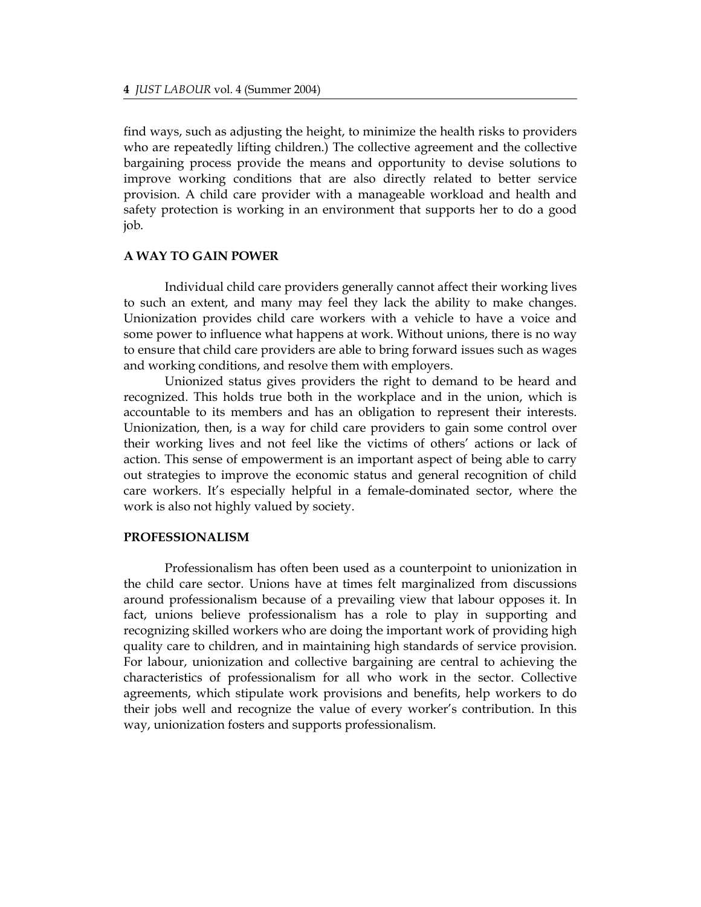find ways, such as adjusting the height, to minimize the health risks to providers who are repeatedly lifting children.) The collective agreement and the collective bargaining process provide the means and opportunity to devise solutions to improve working conditions that are also directly related to better service provision. A child care provider with a manageable workload and health and safety protection is working in an environment that supports her to do a good job.

#### **A WAY TO GAIN POWER**

Individual child care providers generally cannot affect their working lives to such an extent, and many may feel they lack the ability to make changes. Unionization provides child care workers with a vehicle to have a voice and some power to influence what happens at work. Without unions, there is no way to ensure that child care providers are able to bring forward issues such as wages and working conditions, and resolve them with employers.

Unionized status gives providers the right to demand to be heard and recognized. This holds true both in the workplace and in the union, which is accountable to its members and has an obligation to represent their interests. Unionization, then, is a way for child care providers to gain some control over their working lives and not feel like the victims of others' actions or lack of action. This sense of empowerment is an important aspect of being able to carry out strategies to improve the economic status and general recognition of child care workers. It's especially helpful in a female-dominated sector, where the work is also not highly valued by society.

#### **PROFESSIONALISM**

Professionalism has often been used as a counterpoint to unionization in the child care sector. Unions have at times felt marginalized from discussions around professionalism because of a prevailing view that labour opposes it. In fact, unions believe professionalism has a role to play in supporting and recognizing skilled workers who are doing the important work of providing high quality care to children, and in maintaining high standards of service provision. For labour, unionization and collective bargaining are central to achieving the characteristics of professionalism for all who work in the sector. Collective agreements, which stipulate work provisions and benefits, help workers to do their jobs well and recognize the value of every worker's contribution. In this way, unionization fosters and supports professionalism.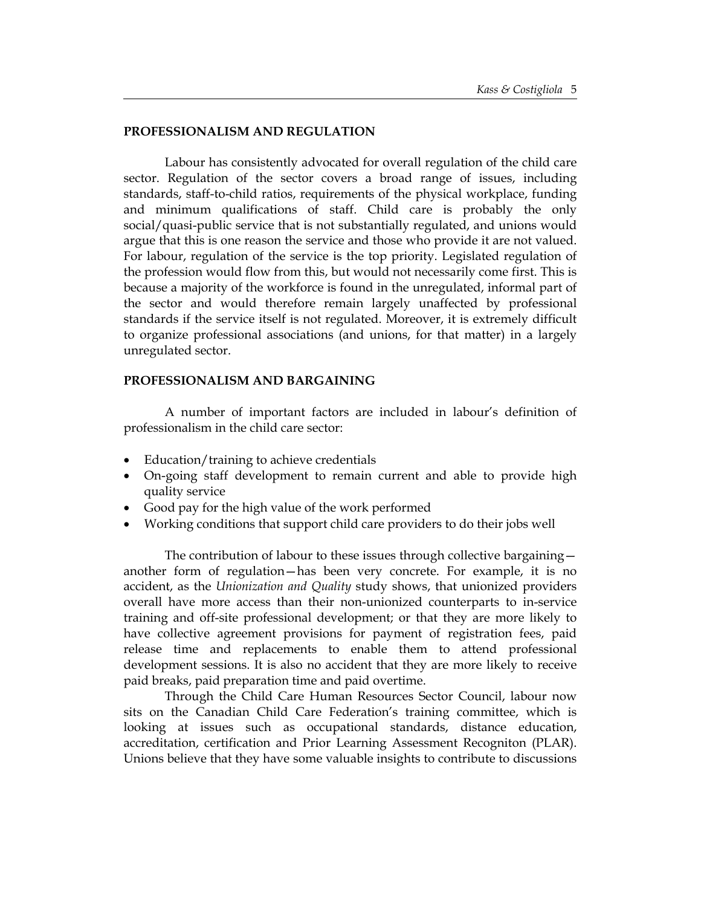#### **PROFESSIONALISM AND REGULATION**

Labour has consistently advocated for overall regulation of the child care sector. Regulation of the sector covers a broad range of issues, including standards, staff-to-child ratios, requirements of the physical workplace, funding and minimum qualifications of staff. Child care is probably the only social/quasi-public service that is not substantially regulated, and unions would argue that this is one reason the service and those who provide it are not valued. For labour, regulation of the service is the top priority. Legislated regulation of the profession would flow from this, but would not necessarily come first. This is because a majority of the workforce is found in the unregulated, informal part of the sector and would therefore remain largely unaffected by professional standards if the service itself is not regulated. Moreover, it is extremely difficult to organize professional associations (and unions, for that matter) in a largely unregulated sector.

#### **PROFESSIONALISM AND BARGAINING**

A number of important factors are included in labour's definition of professionalism in the child care sector:

- Education/training to achieve credentials
- On-going staff development to remain current and able to provide high quality service
- Good pay for the high value of the work performed
- Working conditions that support child care providers to do their jobs well

The contribution of labour to these issues through collective bargaining another form of regulation—has been very concrete. For example, it is no accident, as the *Unionization and Quality* study shows, that unionized providers overall have more access than their non-unionized counterparts to in-service training and off-site professional development; or that they are more likely to have collective agreement provisions for payment of registration fees, paid release time and replacements to enable them to attend professional development sessions. It is also no accident that they are more likely to receive paid breaks, paid preparation time and paid overtime.

Through the Child Care Human Resources Sector Council, labour now sits on the Canadian Child Care Federation's training committee, which is looking at issues such as occupational standards, distance education, accreditation, certification and Prior Learning Assessment Recogniton (PLAR). Unions believe that they have some valuable insights to contribute to discussions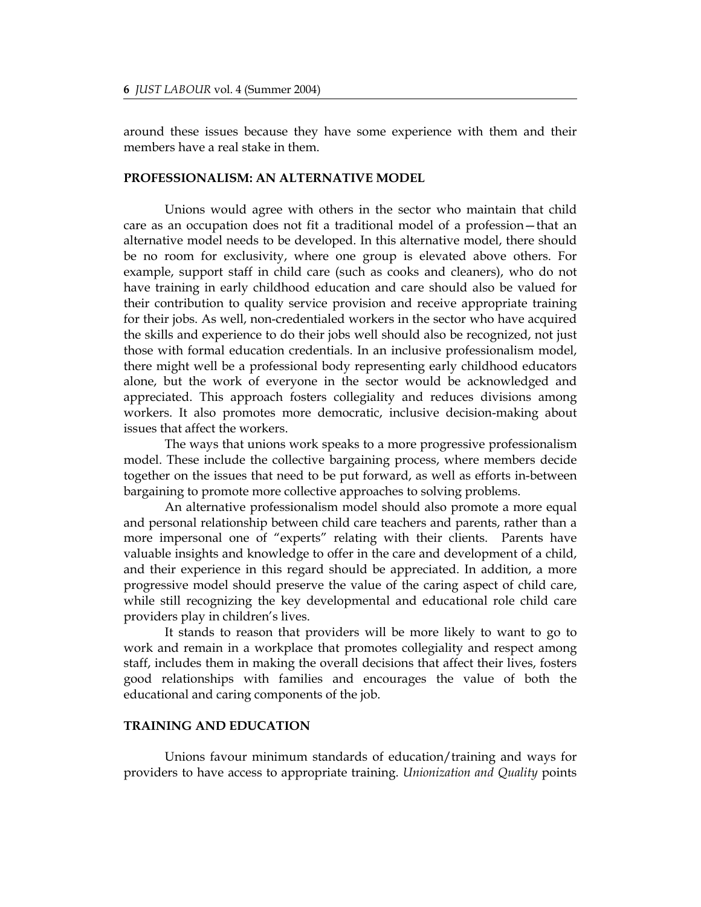around these issues because they have some experience with them and their members have a real stake in them.

#### **PROFESSIONALISM: AN ALTERNATIVE MODEL**

Unions would agree with others in the sector who maintain that child care as an occupation does not fit a traditional model of a profession—that an alternative model needs to be developed. In this alternative model, there should be no room for exclusivity, where one group is elevated above others. For example, support staff in child care (such as cooks and cleaners), who do not have training in early childhood education and care should also be valued for their contribution to quality service provision and receive appropriate training for their jobs. As well, non-credentialed workers in the sector who have acquired the skills and experience to do their jobs well should also be recognized, not just those with formal education credentials. In an inclusive professionalism model, there might well be a professional body representing early childhood educators alone, but the work of everyone in the sector would be acknowledged and appreciated. This approach fosters collegiality and reduces divisions among workers. It also promotes more democratic, inclusive decision-making about issues that affect the workers.

The ways that unions work speaks to a more progressive professionalism model. These include the collective bargaining process, where members decide together on the issues that need to be put forward, as well as efforts in-between bargaining to promote more collective approaches to solving problems.

An alternative professionalism model should also promote a more equal and personal relationship between child care teachers and parents, rather than a more impersonal one of "experts" relating with their clients. Parents have valuable insights and knowledge to offer in the care and development of a child, and their experience in this regard should be appreciated. In addition, a more progressive model should preserve the value of the caring aspect of child care, while still recognizing the key developmental and educational role child care providers play in children's lives.

It stands to reason that providers will be more likely to want to go to work and remain in a workplace that promotes collegiality and respect among staff, includes them in making the overall decisions that affect their lives, fosters good relationships with families and encourages the value of both the educational and caring components of the job.

# **TRAINING AND EDUCATION**

Unions favour minimum standards of education/training and ways for providers to have access to appropriate training. *Unionization and Quality* points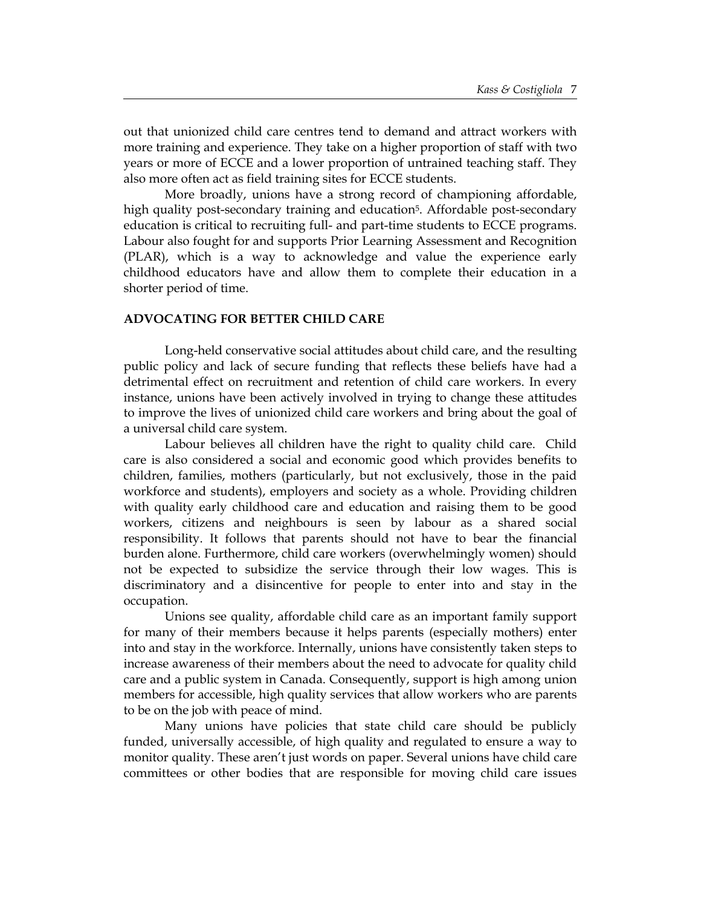out that unionized child care centres tend to demand and attract workers with more training and experience. They take on a higher proportion of staff with two years or more of ECCE and a lower proportion of untrained teaching staff. They also more often act as field training sites for ECCE students.

More broadly, unions have a strong record of championing affordable, high quality post-secondary training and education<sup>5</sup>. Affordable post-secondary education is critical to recruiting full- and part-time students to ECCE programs. Labour also fought for and supports Prior Learning Assessment and Recognition (PLAR), which is a way to acknowledge and value the experience early childhood educators have and allow them to complete their education in a shorter period of time.

#### **ADVOCATING FOR BETTER CHILD CARE**

Long-held conservative social attitudes about child care, and the resulting public policy and lack of secure funding that reflects these beliefs have had a detrimental effect on recruitment and retention of child care workers. In every instance, unions have been actively involved in trying to change these attitudes to improve the lives of unionized child care workers and bring about the goal of a universal child care system.

Labour believes all children have the right to quality child care. Child care is also considered a social and economic good which provides benefits to children, families, mothers (particularly, but not exclusively, those in the paid workforce and students), employers and society as a whole. Providing children with quality early childhood care and education and raising them to be good workers, citizens and neighbours is seen by labour as a shared social responsibility. It follows that parents should not have to bear the financial burden alone. Furthermore, child care workers (overwhelmingly women) should not be expected to subsidize the service through their low wages. This is discriminatory and a disincentive for people to enter into and stay in the occupation.

Unions see quality, affordable child care as an important family support for many of their members because it helps parents (especially mothers) enter into and stay in the workforce. Internally, unions have consistently taken steps to increase awareness of their members about the need to advocate for quality child care and a public system in Canada. Consequently, support is high among union members for accessible, high quality services that allow workers who are parents to be on the job with peace of mind.

Many unions have policies that state child care should be publicly funded, universally accessible, of high quality and regulated to ensure a way to monitor quality. These aren't just words on paper. Several unions have child care committees or other bodies that are responsible for moving child care issues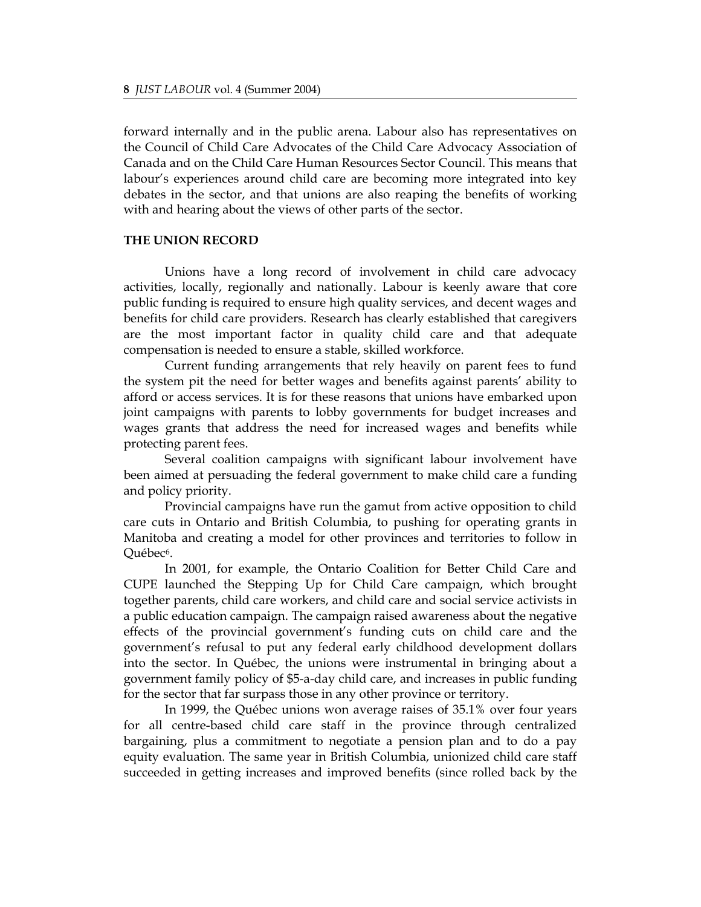forward internally and in the public arena. Labour also has representatives on the Council of Child Care Advocates of the Child Care Advocacy Association of Canada and on the Child Care Human Resources Sector Council. This means that labour's experiences around child care are becoming more integrated into key debates in the sector, and that unions are also reaping the benefits of working with and hearing about the views of other parts of the sector.

# **THE UNION RECORD**

Unions have a long record of involvement in child care advocacy activities, locally, regionally and nationally. Labour is keenly aware that core public funding is required to ensure high quality services, and decent wages and benefits for child care providers. Research has clearly established that caregivers are the most important factor in quality child care and that adequate compensation is needed to ensure a stable, skilled workforce.

Current funding arrangements that rely heavily on parent fees to fund the system pit the need for better wages and benefits against parents' ability to afford or access services. It is for these reasons that unions have embarked upon joint campaigns with parents to lobby governments for budget increases and wages grants that address the need for increased wages and benefits while protecting parent fees.

Several coalition campaigns with significant labour involvement have been aimed at persuading the federal government to make child care a funding and policy priority.

Provincial campaigns have run the gamut from active opposition to child care cuts in Ontario and British Columbia, to pushing for operating grants in Manitoba and creating a model for other provinces and territories to follow in Québec[6.](#page-11-5)

In 2001, for example, the Ontario Coalition for Better Child Care and CUPE launched the Stepping Up for Child Care campaign, which brought together parents, child care workers, and child care and social service activists in a public education campaign. The campaign raised awareness about the negative effects of the provincial government's funding cuts on child care and the government's refusal to put any federal early childhood development dollars into the sector. In Québec, the unions were instrumental in bringing about a government family policy of \$5-a-day child care, and increases in public funding for the sector that far surpass those in any other province or territory.

In 1999, the Québec unions won average raises of 35.1% over four years for all centre-based child care staff in the province through centralized bargaining, plus a commitment to negotiate a pension plan and to do a pay equity evaluation. The same year in British Columbia, unionized child care staff succeeded in getting increases and improved benefits (since rolled back by the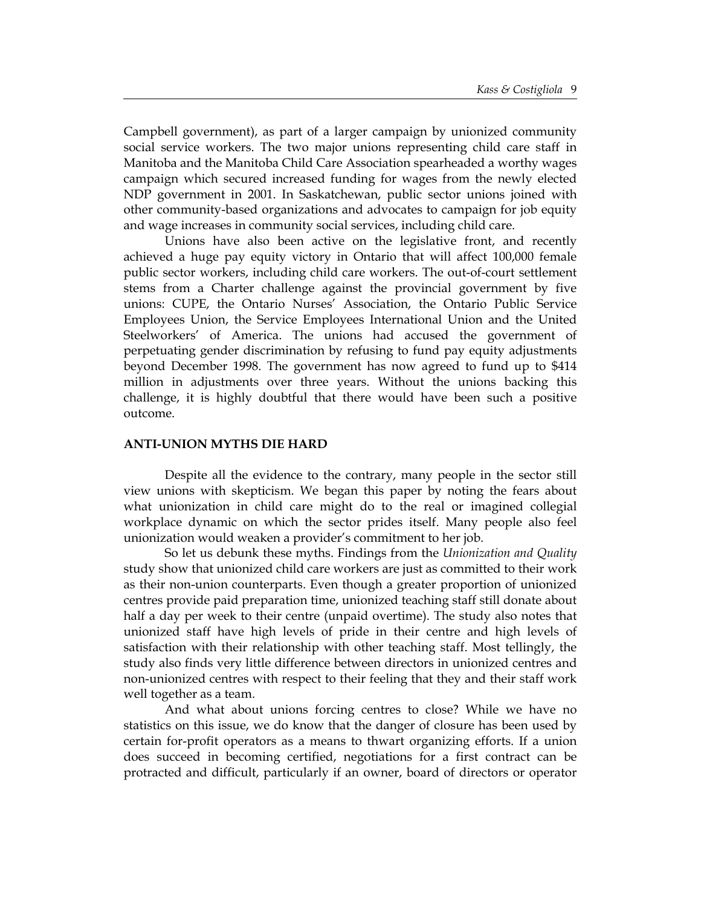Campbell government), as part of a larger campaign by unionized community social service workers. The two major unions representing child care staff in Manitoba and the Manitoba Child Care Association spearheaded a worthy wages campaign which secured increased funding for wages from the newly elected NDP government in 2001. In Saskatchewan, public sector unions joined with other community-based organizations and advocates to campaign for job equity and wage increases in community social services, including child care.

Unions have also been active on the legislative front, and recently achieved a huge pay equity victory in Ontario that will affect 100,000 female public sector workers, including child care workers. The out-of-court settlement stems from a Charter challenge against the provincial government by five unions: CUPE, the Ontario Nurses' Association, the Ontario Public Service Employees Union, the Service Employees International Union and the United Steelworkers' of America. The unions had accused the government of perpetuating gender discrimination by refusing to fund pay equity adjustments beyond December 1998. The government has now agreed to fund up to \$414 million in adjustments over three years. Without the unions backing this challenge, it is highly doubtful that there would have been such a positive outcome.

#### **ANTI-UNION MYTHS DIE HARD**

Despite all the evidence to the contrary, many people in the sector still view unions with skepticism. We began this paper by noting the fears about what unionization in child care might do to the real or imagined collegial workplace dynamic on which the sector prides itself. Many people also feel unionization would weaken a provider's commitment to her job.

So let us debunk these myths. Findings from the *Unionization and Quality* study show that unionized child care workers are just as committed to their work as their non-union counterparts. Even though a greater proportion of unionized centres provide paid preparation time, unionized teaching staff still donate about half a day per week to their centre (unpaid overtime). The study also notes that unionized staff have high levels of pride in their centre and high levels of satisfaction with their relationship with other teaching staff. Most tellingly, the study also finds very little difference between directors in unionized centres and non-unionized centres with respect to their feeling that they and their staff work well together as a team.

And what about unions forcing centres to close? While we have no statistics on this issue, we do know that the danger of closure has been used by certain for-profit operators as a means to thwart organizing efforts. If a union does succeed in becoming certified, negotiations for a first contract can be protracted and difficult, particularly if an owner, board of directors or operator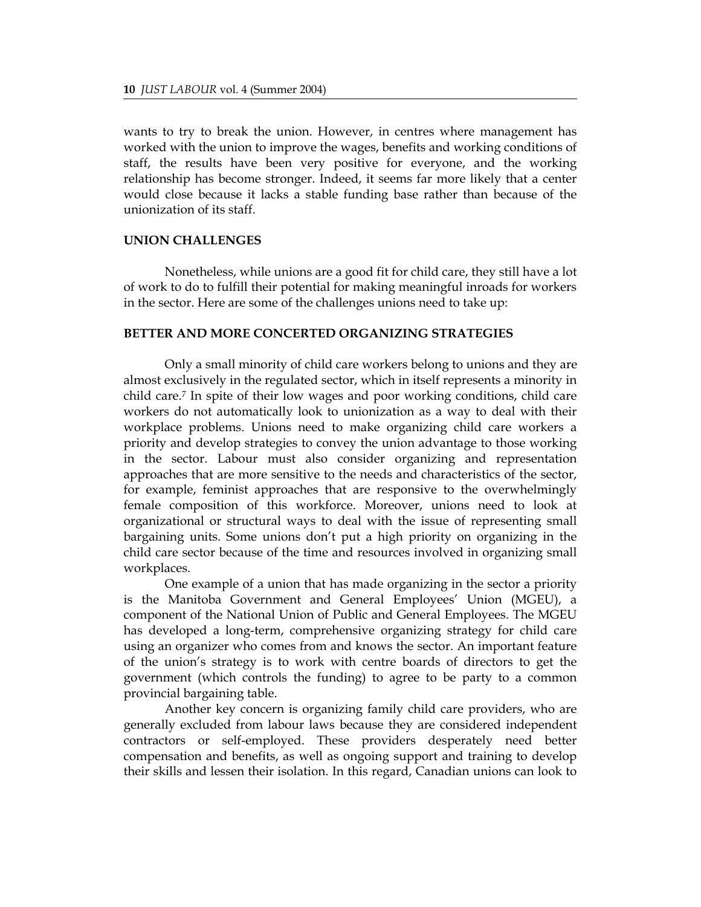wants to try to break the union. However, in centres where management has worked with the union to improve the wages, benefits and working conditions of staff, the results have been very positive for everyone, and the working relationship has become stronger. Indeed, it seems far more likely that a center would close because it lacks a stable funding base rather than because of the unionization of its staff.

# **UNION CHALLENGES**

Nonetheless, while unions are a good fit for child care, they still have a lot of work to do to fulfill their potential for making meaningful inroads for workers in the sector. Here are some of the challenges unions need to take up:

## **BETTER AND MORE CONCERTED ORGANIZING STRATEGIES**

Only a small minority of child care workers belong to unions and they are almost exclusively in the regulated sector, which in itself represents a minority in child care.[7](#page-11-6) In spite of their low wages and poor working conditions, child care workers do not automatically look to unionization as a way to deal with their workplace problems. Unions need to make organizing child care workers a priority and develop strategies to convey the union advantage to those working in the sector. Labour must also consider organizing and representation approaches that are more sensitive to the needs and characteristics of the sector, for example, feminist approaches that are responsive to the overwhelmingly female composition of this workforce. Moreover, unions need to look at organizational or structural ways to deal with the issue of representing small bargaining units. Some unions don't put a high priority on organizing in the child care sector because of the time and resources involved in organizing small workplaces.

One example of a union that has made organizing in the sector a priority is the Manitoba Government and General Employees' Union (MGEU), a component of the National Union of Public and General Employees. The MGEU has developed a long-term, comprehensive organizing strategy for child care using an organizer who comes from and knows the sector. An important feature of the union's strategy is to work with centre boards of directors to get the government (which controls the funding) to agree to be party to a common provincial bargaining table.

Another key concern is organizing family child care providers, who are generally excluded from labour laws because they are considered independent contractors or self-employed. These providers desperately need better compensation and benefits, as well as ongoing support and training to develop their skills and lessen their isolation. In this regard, Canadian unions can look to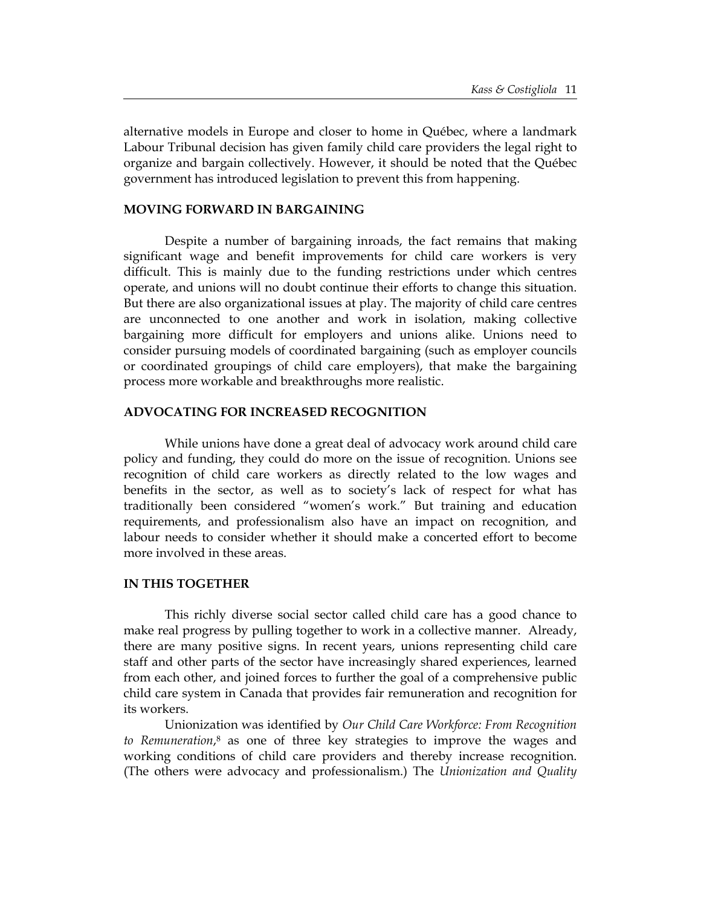alternative models in Europe and closer to home in Québec, where a landmark Labour Tribunal decision has given family child care providers the legal right to organize and bargain collectively. However, it should be noted that the Québec government has introduced legislation to prevent this from happening.

# **MOVING FORWARD IN BARGAINING**

Despite a number of bargaining inroads, the fact remains that making significant wage and benefit improvements for child care workers is very difficult. This is mainly due to the funding restrictions under which centres operate, and unions will no doubt continue their efforts to change this situation. But there are also organizational issues at play. The majority of child care centres are unconnected to one another and work in isolation, making collective bargaining more difficult for employers and unions alike. Unions need to consider pursuing models of coordinated bargaining (such as employer councils or coordinated groupings of child care employers), that make the bargaining process more workable and breakthroughs more realistic.

#### **ADVOCATING FOR INCREASED RECOGNITION**

While unions have done a great deal of advocacy work around child care policy and funding, they could do more on the issue of recognition. Unions see recognition of child care workers as directly related to the low wages and benefits in the sector, as well as to society's lack of respect for what has traditionally been considered "women's work." But training and education requirements, and professionalism also have an impact on recognition, and labour needs to consider whether it should make a concerted effort to become more involved in these areas.

#### **IN THIS TOGETHER**

This richly diverse social sector called child care has a good chance to make real progress by pulling together to work in a collective manner. Already, there are many positive signs. In recent years, unions representing child care staff and other parts of the sector have increasingly shared experiences, learned from each other, and joined forces to further the goal of a comprehensive public child care system in Canada that provides fair remuneration and recognition for its workers.

Unionization was identified by *Our Child Care Workforce: From Recognition to Remuneration*[,8](#page-11-7) as one of three key strategies to improve the wages and working conditions of child care providers and thereby increase recognition. (The others were advocacy and professionalism.) The *Unionization and Quality*